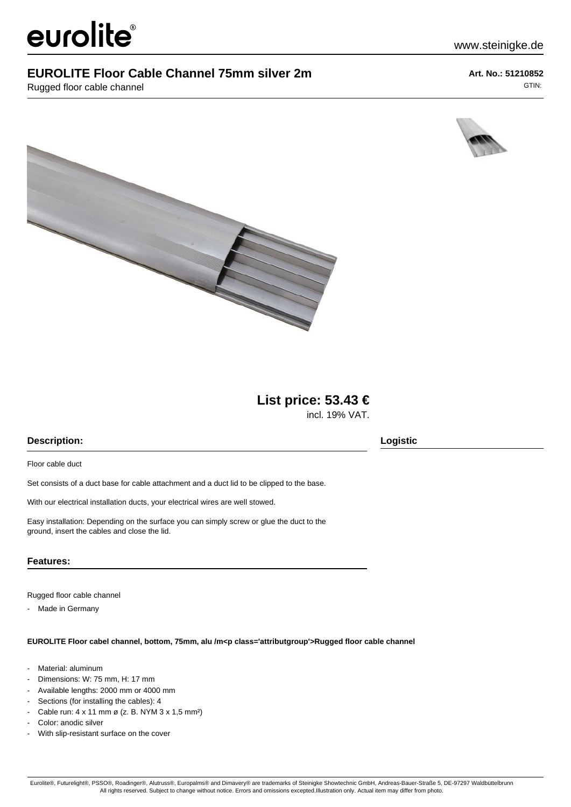# eurolite®

### **EUROLITE Floor Cable Channel 75mm silver 2m**

Rugged floor cable channel

**Art. No.: 51210852** GTIN:

www.steinigke.de





## **List price: 53.43 €**

incl. 19% VAT.

#### **Description: Logistic**

Floor cable duct

Set consists of a duct base for cable attachment and a duct lid to be clipped to the base.

With our electrical installation ducts, your electrical wires are well stowed.

Easy installation: Depending on the surface you can simply screw or glue the duct to the ground, insert the cables and close the lid.

#### **Features:**

Rugged floor cable channel

- Made in Germany

**EUROLITE Floor cabel channel, bottom, 75mm, alu /m<p class='attributgroup'>Rugged floor cable channel**

- Material: aluminum
- Dimensions: W: 75 mm, H: 17 mm
- Available lengths: 2000 mm or 4000 mm
- Sections (for installing the cables): 4
- Cable run: 4 x 11 mm ø (z. B. NYM 3 x 1,5 mm<sup>2</sup>)
- Color: anodic silver
- With slip-resistant surface on the cover